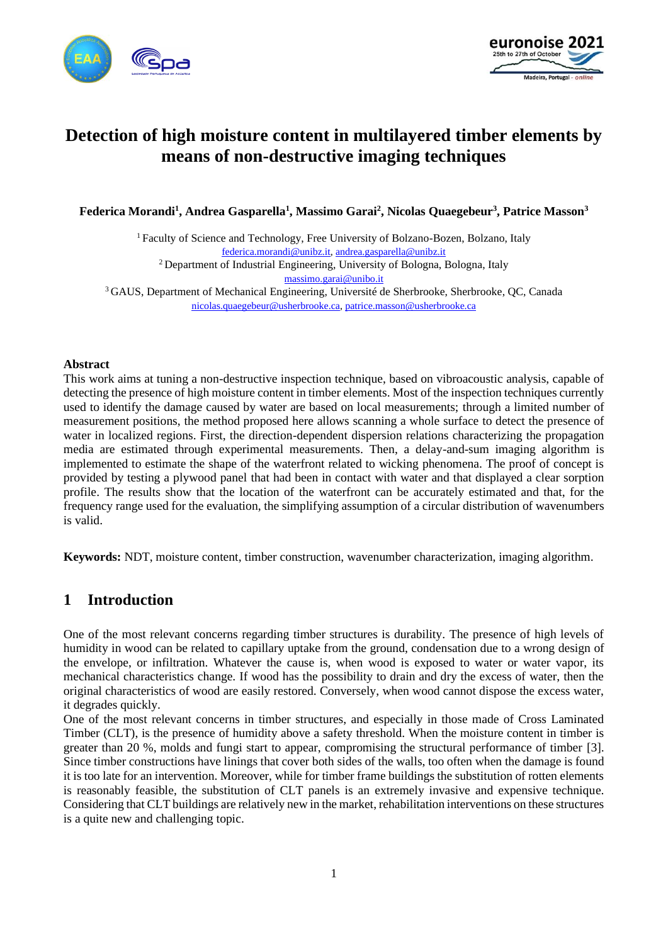



# **Detection of high moisture content in multilayered timber elements by means of non-destructive imaging techniques**

**Federica Morandi<sup>1</sup> , Andrea Gasparella<sup>1</sup> , Massimo Garai<sup>2</sup> , Nicolas Quaegebeur<sup>3</sup> , Patrice Masson<sup>3</sup>**

<sup>1</sup> Faculty of Science and Technology, Free University of Bolzano-Bozen, Bolzano, Italy [federica.morandi@unibz.it,](mailto:federica.morandi@unibz.it) [andrea.gasparella@unibz.it](mailto:andrea.gasparella@unibz.it) <sup>2</sup> Department of Industrial Engineering, University of Bologna, Bologna, Italy [massimo.garai@unibo.it](mailto:massimo.garai@unibo.it) <sup>3</sup>GAUS, Department of Mechanical Engineering, Université de Sherbrooke, Sherbrooke, QC, Canada [nicolas.quaegebeur@usherbrooke.ca,](mailto:nicolas.quaegebeur@usherbrooke.ca) [patrice.masson@usherbrooke.ca](mailto:patrice.masson@usherbrooke.ca)

#### **Abstract**

This work aims at tuning a non-destructive inspection technique, based on vibroacoustic analysis, capable of detecting the presence of high moisture content in timber elements. Most of the inspection techniques currently used to identify the damage caused by water are based on local measurements; through a limited number of measurement positions, the method proposed here allows scanning a whole surface to detect the presence of water in localized regions. First, the direction-dependent dispersion relations characterizing the propagation media are estimated through experimental measurements. Then, a delay-and-sum imaging algorithm is implemented to estimate the shape of the waterfront related to wicking phenomena. The proof of concept is provided by testing a plywood panel that had been in contact with water and that displayed a clear sorption profile. The results show that the location of the waterfront can be accurately estimated and that, for the frequency range used for the evaluation, the simplifying assumption of a circular distribution of wavenumbers is valid.

**Keywords:** NDT, moisture content, timber construction, wavenumber characterization, imaging algorithm.

## **1 Introduction**

One of the most relevant concerns regarding timber structures is durability. The presence of high levels of humidity in wood can be related to capillary uptake from the ground, condensation due to a wrong design of the envelope, or infiltration. Whatever the cause is, when wood is exposed to water or water vapor, its mechanical characteristics change. If wood has the possibility to drain and dry the excess of water, then the original characteristics of wood are easily restored. Conversely, when wood cannot dispose the excess water, it degrades quickly.

One of the most relevant concerns in timber structures, and especially in those made of Cross Laminated Timber (CLT), is the presence of humidity above a safety threshold. When the moisture content in timber is greater than 20 %, molds and fungi start to appear, compromising the structural performance of timber [3]. Since timber constructions have linings that cover both sides of the walls, too often when the damage is found it is too late for an intervention. Moreover, while for timber frame buildings the substitution of rotten elements is reasonably feasible, the substitution of CLT panels is an extremely invasive and expensive technique. Considering that CLT buildings are relatively new in the market, rehabilitation interventions on these structures is a quite new and challenging topic.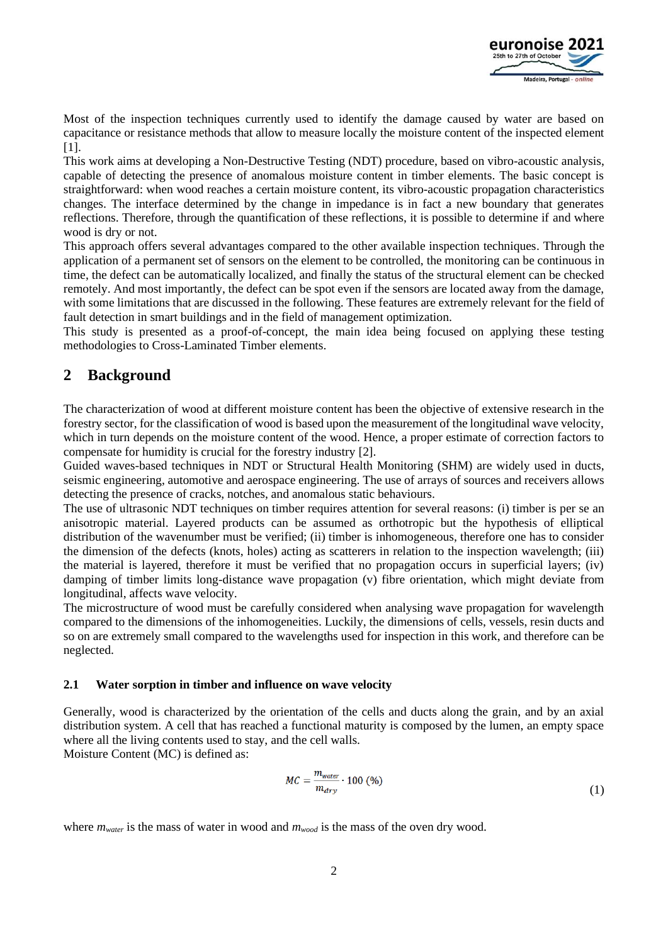

Most of the inspection techniques currently used to identify the damage caused by water are based on capacitance or resistance methods that allow to measure locally the moisture content of the inspected element [1].

This work aims at developing a Non-Destructive Testing (NDT) procedure, based on vibro-acoustic analysis, capable of detecting the presence of anomalous moisture content in timber elements. The basic concept is straightforward: when wood reaches a certain moisture content, its vibro-acoustic propagation characteristics changes. The interface determined by the change in impedance is in fact a new boundary that generates reflections. Therefore, through the quantification of these reflections, it is possible to determine if and where wood is dry or not.

This approach offers several advantages compared to the other available inspection techniques. Through the application of a permanent set of sensors on the element to be controlled, the monitoring can be continuous in time, the defect can be automatically localized, and finally the status of the structural element can be checked remotely. And most importantly, the defect can be spot even if the sensors are located away from the damage, with some limitations that are discussed in the following. These features are extremely relevant for the field of fault detection in smart buildings and in the field of management optimization.

This study is presented as a proof-of-concept, the main idea being focused on applying these testing methodologies to Cross-Laminated Timber elements.

# **2 Background**

The characterization of wood at different moisture content has been the objective of extensive research in the forestry sector, for the classification of wood is based upon the measurement of the longitudinal wave velocity, which in turn depends on the moisture content of the wood. Hence, a proper estimate of correction factors to compensate for humidity is crucial for the forestry industry [2].

Guided waves-based techniques in NDT or Structural Health Monitoring (SHM) are widely used in ducts, seismic engineering, automotive and aerospace engineering. The use of arrays of sources and receivers allows detecting the presence of cracks, notches, and anomalous static behaviours.

The use of ultrasonic NDT techniques on timber requires attention for several reasons: (i) timber is per se an anisotropic material. Layered products can be assumed as orthotropic but the hypothesis of elliptical distribution of the wavenumber must be verified; (ii) timber is inhomogeneous, therefore one has to consider the dimension of the defects (knots, holes) acting as scatterers in relation to the inspection wavelength; (iii) the material is layered, therefore it must be verified that no propagation occurs in superficial layers; (iv) damping of timber limits long-distance wave propagation (v) fibre orientation, which might deviate from longitudinal, affects wave velocity.

The microstructure of wood must be carefully considered when analysing wave propagation for wavelength compared to the dimensions of the inhomogeneities. Luckily, the dimensions of cells, vessels, resin ducts and so on are extremely small compared to the wavelengths used for inspection in this work, and therefore can be neglected.

#### **2.1 Water sorption in timber and influence on wave velocity**

Generally, wood is characterized by the orientation of the cells and ducts along the grain, and by an axial distribution system. A cell that has reached a functional maturity is composed by the lumen, an empty space where all the living contents used to stay, and the cell walls. Moisture Content (MC) is defined as:

> $MC = \frac{m_{water}}{m_{dry}} \cdot 100$  (%) (1)

where  $m_{water}$  is the mass of water in wood and  $m_{wood}$  is the mass of the oven dry wood.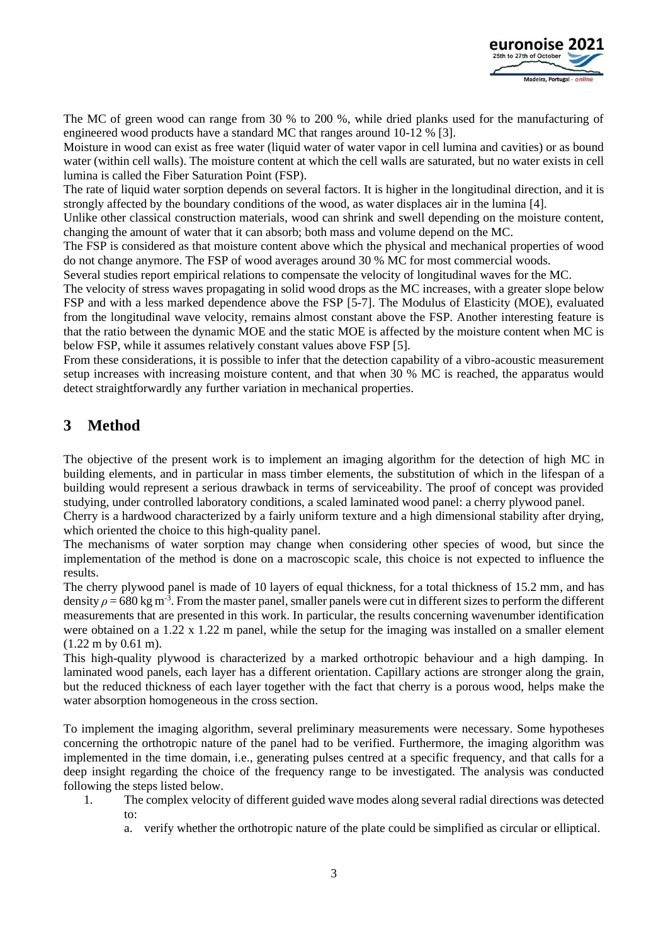

The MC of green wood can range from 30 % to 200 %, while dried planks used for the manufacturing of engineered wood products have a standard MC that ranges around 10-12 % [3].

Moisture in wood can exist as free water (liquid water of water vapor in cell lumina and cavities) or as bound water (within cell walls). The moisture content at which the cell walls are saturated, but no water exists in cell lumina is called the Fiber Saturation Point (FSP).

The rate of liquid water sorption depends on several factors. It is higher in the longitudinal direction, and it is strongly affected by the boundary conditions of the wood, as water displaces air in the lumina [4].

Unlike other classical construction materials, wood can shrink and swell depending on the moisture content, changing the amount of water that it can absorb; both mass and volume depend on the MC.

The FSP is considered as that moisture content above which the physical and mechanical properties of wood do not change anymore. The FSP of wood averages around 30 % MC for most commercial woods.

Several studies report empirical relations to compensate the velocity of longitudinal waves for the MC.

The velocity of stress waves propagating in solid wood drops as the MC increases, with a greater slope below FSP and with a less marked dependence above the FSP [5-7]. The Modulus of Elasticity (MOE), evaluated from the longitudinal wave velocity, remains almost constant above the FSP. Another interesting feature is that the ratio between the dynamic MOE and the static MOE is affected by the moisture content when MC is below FSP, while it assumes relatively constant values above FSP [5].

From these considerations, it is possible to infer that the detection capability of a vibro-acoustic measurement setup increases with increasing moisture content, and that when 30 % MC is reached, the apparatus would detect straightforwardly any further variation in mechanical properties.

# **3 Method**

The objective of the present work is to implement an imaging algorithm for the detection of high MC in building elements, and in particular in mass timber elements, the substitution of which in the lifespan of a building would represent a serious drawback in terms of serviceability. The proof of concept was provided studying, under controlled laboratory conditions, a scaled laminated wood panel: a cherry plywood panel.

Cherry is a hardwood characterized by a fairly uniform texture and a high dimensional stability after drying, which oriented the choice to this high-quality panel.

The mechanisms of water sorption may change when considering other species of wood, but since the implementation of the method is done on a macroscopic scale, this choice is not expected to influence the results.

The cherry plywood panel is made of 10 layers of equal thickness, for a total thickness of 15.2 mm, and has density  $\rho$  = 680 kg m<sup>-3</sup>. From the master panel, smaller panels were cut in different sizes to perform the different measurements that are presented in this work. In particular, the results concerning wavenumber identification were obtained on a 1.22 x 1.22 m panel, while the setup for the imaging was installed on a smaller element (1.22 m by 0.61 m).

This high-quality plywood is characterized by a marked orthotropic behaviour and a high damping. In laminated wood panels, each layer has a different orientation. Capillary actions are stronger along the grain, but the reduced thickness of each layer together with the fact that cherry is a porous wood, helps make the water absorption homogeneous in the cross section.

To implement the imaging algorithm, several preliminary measurements were necessary. Some hypotheses concerning the orthotropic nature of the panel had to be verified. Furthermore, the imaging algorithm was implemented in the time domain, i.e., generating pulses centred at a specific frequency, and that calls for a deep insight regarding the choice of the frequency range to be investigated. The analysis was conducted following the steps listed below.

- 1. The complex velocity of different guided wave modes along several radial directions was detected to:
	- a. verify whether the orthotropic nature of the plate could be simplified as circular or elliptical.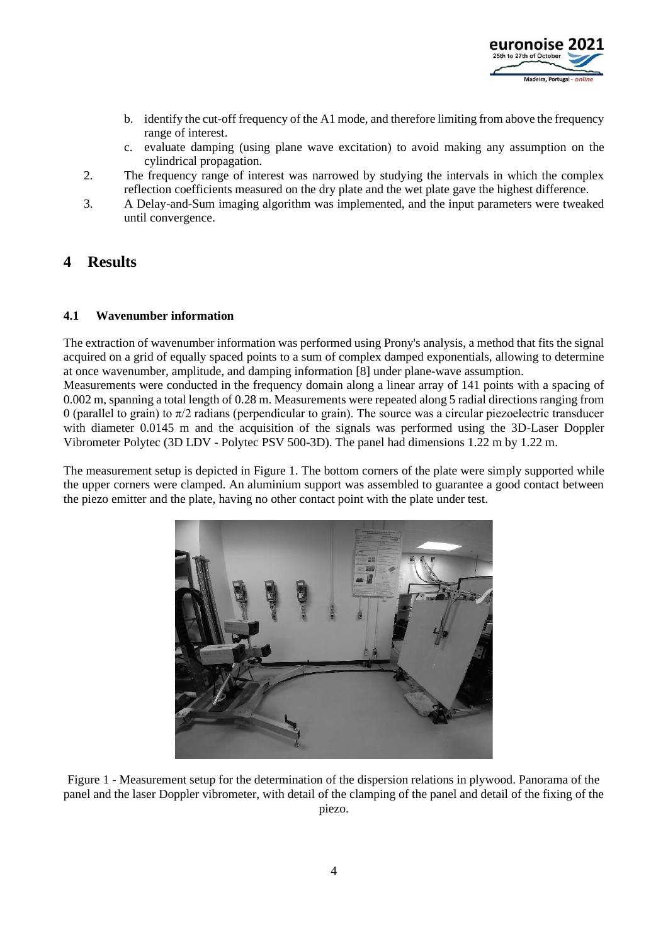

- b. identify the cut-off frequency of the A1 mode, and therefore limiting from above the frequency range of interest.
- c. evaluate damping (using plane wave excitation) to avoid making any assumption on the cylindrical propagation.
- 2. The frequency range of interest was narrowed by studying the intervals in which the complex reflection coefficients measured on the dry plate and the wet plate gave the highest difference.
- 3. A Delay-and-Sum imaging algorithm was implemented, and the input parameters were tweaked until convergence.

## **4 Results**

#### **4.1 Wavenumber information**

The extraction of wavenumber information was performed using Prony's analysis, a method that fits the signal acquired on a grid of equally spaced points to a sum of complex damped exponentials, allowing to determine at once wavenumber, amplitude, and damping information [8] under plane-wave assumption.

Measurements were conducted in the frequency domain along a linear array of 141 points with a spacing of 0.002 m, spanning a total length of 0.28 m. Measurements were repeated along 5 radial directions ranging from 0 (parallel to grain) to  $\pi/2$  radians (perpendicular to grain). The source was a circular piezoelectric transducer with diameter 0.0145 m and the acquisition of the signals was performed using the 3D-Laser Doppler Vibrometer Polytec (3D LDV - Polytec PSV 500-3D). The panel had dimensions 1.22 m by 1.22 m.

The measurement setup is depicted in Figure 1. The bottom corners of the plate were simply supported while the upper corners were clamped. An aluminium support was assembled to guarantee a good contact between the piezo emitter and the plate, having no other contact point with the plate under test.



Figure 1 - Measurement setup for the determination of the dispersion relations in plywood. Panorama of the panel and the laser Doppler vibrometer, with detail of the clamping of the panel and detail of the fixing of the piezo.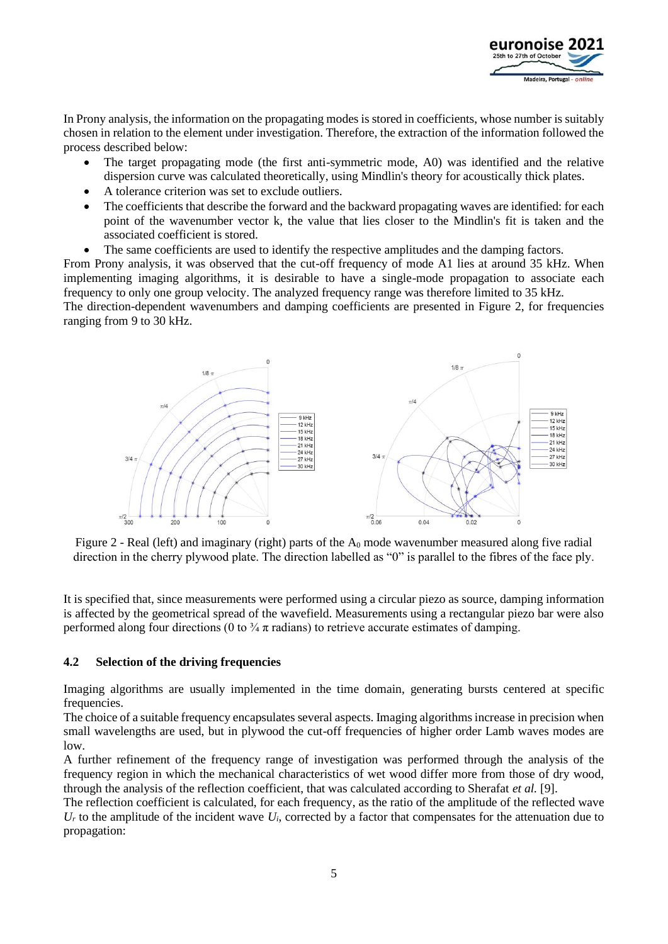

In Prony analysis, the information on the propagating modes is stored in coefficients, whose number is suitably chosen in relation to the element under investigation. Therefore, the extraction of the information followed the process described below:

- The target propagating mode (the first anti-symmetric mode, A0) was identified and the relative dispersion curve was calculated theoretically, using Mindlin's theory for acoustically thick plates.
- A tolerance criterion was set to exclude outliers.
- The coefficients that describe the forward and the backward propagating waves are identified: for each point of the wavenumber vector k, the value that lies closer to the Mindlin's fit is taken and the associated coefficient is stored.
- The same coefficients are used to identify the respective amplitudes and the damping factors.

From Prony analysis, it was observed that the cut-off frequency of mode A1 lies at around 35 kHz. When implementing imaging algorithms, it is desirable to have a single-mode propagation to associate each frequency to only one group velocity. The analyzed frequency range was therefore limited to 35 kHz. The direction-dependent wavenumbers and damping coefficients are presented in Figure 2, for frequencies

ranging from 9 to 30 kHz.



Figure 2 - Real (left) and imaginary (right) parts of the  $A_0$  mode wavenumber measured along five radial direction in the cherry plywood plate. The direction labelled as "0" is parallel to the fibres of the face ply.

It is specified that, since measurements were performed using a circular piezo as source, damping information is affected by the geometrical spread of the wavefield. Measurements using a rectangular piezo bar were also performed along four directions (0 to  $\frac{3}{4} \pi$  radians) to retrieve accurate estimates of damping.

#### **4.2 Selection of the driving frequencies**

Imaging algorithms are usually implemented in the time domain, generating bursts centered at specific frequencies.

The choice of a suitable frequency encapsulates several aspects. Imaging algorithms increase in precision when small wavelengths are used, but in plywood the cut-off frequencies of higher order Lamb waves modes are low.

A further refinement of the frequency range of investigation was performed through the analysis of the frequency region in which the mechanical characteristics of wet wood differ more from those of dry wood, through the analysis of the reflection coefficient, that was calculated according to Sherafat *et al.* [9].

The reflection coefficient is calculated, for each frequency, as the ratio of the amplitude of the reflected wave  $U_r$  to the amplitude of the incident wave  $U_i$ , corrected by a factor that compensates for the attenuation due to propagation: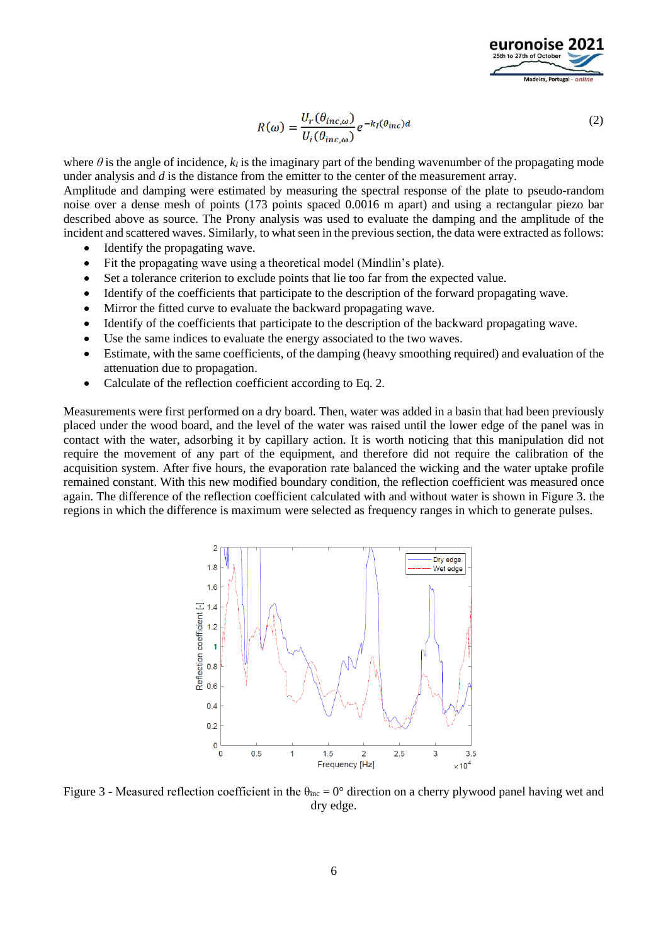

$$
R(\omega) = \frac{U_r(\theta_{inc,\omega})}{U_i(\theta_{inc,\omega})} e^{-k_I(\theta_{inc})d}
$$
\n(2)

where  $\theta$  is the angle of incidence,  $k_l$  is the imaginary part of the bending wavenumber of the propagating mode under analysis and *d* is the distance from the emitter to the center of the measurement array.

Amplitude and damping were estimated by measuring the spectral response of the plate to pseudo-random noise over a dense mesh of points (173 points spaced 0.0016 m apart) and using a rectangular piezo bar described above as source. The Prony analysis was used to evaluate the damping and the amplitude of the incident and scattered waves. Similarly, to what seen in the previous section, the data were extracted as follows:

- Identify the propagating wave.
- Fit the propagating wave using a theoretical model (Mindlin's plate).
- Set a tolerance criterion to exclude points that lie too far from the expected value.
- Identify of the coefficients that participate to the description of the forward propagating wave.
- Mirror the fitted curve to evaluate the backward propagating wave.
- Identify of the coefficients that participate to the description of the backward propagating wave.
- Use the same indices to evaluate the energy associated to the two waves.
- Estimate, with the same coefficients, of the damping (heavy smoothing required) and evaluation of the attenuation due to propagation.
- Calculate of the reflection coefficient according to Eq. 2.

Measurements were first performed on a dry board. Then, water was added in a basin that had been previously placed under the wood board, and the level of the water was raised until the lower edge of the panel was in contact with the water, adsorbing it by capillary action. It is worth noticing that this manipulation did not require the movement of any part of the equipment, and therefore did not require the calibration of the acquisition system. After five hours, the evaporation rate balanced the wicking and the water uptake profile remained constant. With this new modified boundary condition, the reflection coefficient was measured once again. The difference of the reflection coefficient calculated with and without water is shown in Figure 3. the regions in which the difference is maximum were selected as frequency ranges in which to generate pulses.



Figure 3 - Measured reflection coefficient in the  $\theta_{inc} = 0^{\circ}$  direction on a cherry plywood panel having wet and dry edge.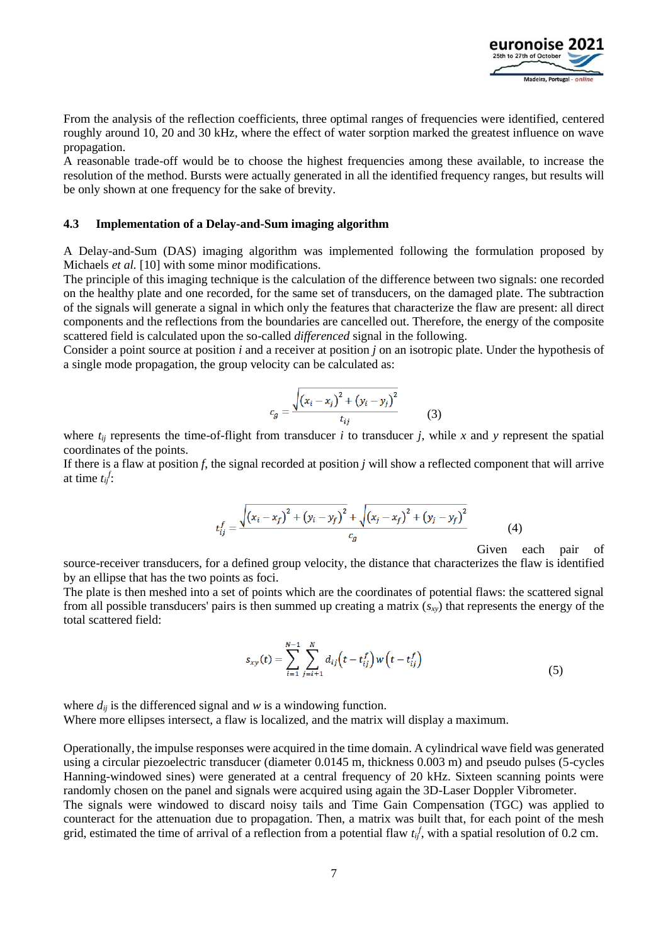

From the analysis of the reflection coefficients, three optimal ranges of frequencies were identified, centered roughly around 10, 20 and 30 kHz, where the effect of water sorption marked the greatest influence on wave propagation.

A reasonable trade-off would be to choose the highest frequencies among these available, to increase the resolution of the method. Bursts were actually generated in all the identified frequency ranges, but results will be only shown at one frequency for the sake of brevity.

#### **4.3 Implementation of a Delay-and-Sum imaging algorithm**

A Delay-and-Sum (DAS) imaging algorithm was implemented following the formulation proposed by Michaels *et al.* [10] with some minor modifications.

The principle of this imaging technique is the calculation of the difference between two signals: one recorded on the healthy plate and one recorded, for the same set of transducers, on the damaged plate. The subtraction of the signals will generate a signal in which only the features that characterize the flaw are present: all direct components and the reflections from the boundaries are cancelled out. Therefore, the energy of the composite scattered field is calculated upon the so-called *differenced* signal in the following.

Consider a point source at position *i* and a receiver at position *j* on an isotropic plate. Under the hypothesis of a single mode propagation, the group velocity can be calculated as:

$$
c_g = \frac{\sqrt{(x_i - x_j)^2 + (y_i - y_j)^2}}{t_{ij}} \tag{3}
$$

where  $t_{ij}$  represents the time-of-flight from transducer *i* to transducer *j*, while *x* and *y* represent the spatial coordinates of the points.

If there is a flaw at position *f*, the signal recorded at position *j* will show a reflected component that will arrive at time  $t_{ij}^f$ :

$$
t_{ij}^f = \frac{\sqrt{(x_i - x_f)^2 + (y_i - y_f)^2} + \sqrt{(x_j - x_f)^2 + (y_j - y_f)^2}}{c_g}
$$
(4)

Given each pair of

source-receiver transducers, for a defined group velocity, the distance that characterizes the flaw is identified by an ellipse that has the two points as foci.

The plate is then meshed into a set of points which are the coordinates of potential flaws: the scattered signal from all possible transducers' pairs is then summed up creating a matrix (*sxy*) that represents the energy of the total scattered field:

$$
s_{xy}(t) = \sum_{i=1}^{N-1} \sum_{j=i+1}^{N} d_{ij} \left( t - t_{ij}^f \right) w \left( t - t_{ij}^f \right)
$$
\n(5)

where  $d_{ij}$  is the differenced signal and  $w$  is a windowing function. Where more ellipses intersect, a flaw is localized, and the matrix will display a maximum.

Operationally, the impulse responses were acquired in the time domain. A cylindrical wave field was generated using a circular piezoelectric transducer (diameter 0.0145 m, thickness 0.003 m) and pseudo pulses (5-cycles Hanning-windowed sines) were generated at a central frequency of 20 kHz. Sixteen scanning points were randomly chosen on the panel and signals were acquired using again the 3D-Laser Doppler Vibrometer. The signals were windowed to discard noisy tails and Time Gain Compensation (TGC) was applied to counteract for the attenuation due to propagation. Then, a matrix was built that, for each point of the mesh grid, estimated the time of arrival of a reflection from a potential flaw  $t_{ij}^f$ , with a spatial resolution of 0.2 cm.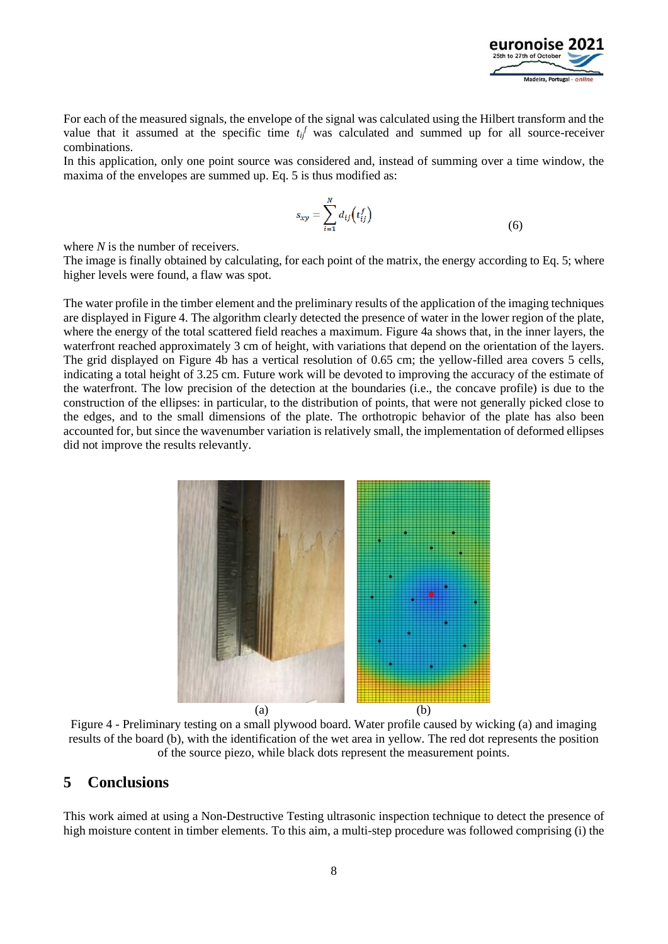

For each of the measured signals, the envelope of the signal was calculated using the Hilbert transform and the value that it assumed at the specific time  $t_i$ <sup>f</sup> was calculated and summed up for all source-receiver combinations.

In this application, only one point source was considered and, instead of summing over a time window, the maxima of the envelopes are summed up. Eq. 5 is thus modified as:

$$
s_{xy} = \sum_{i=1}^{N} d_{ij} \left( t_{ij}^{f} \right) \tag{6}
$$

where *N* is the number of receivers.

The image is finally obtained by calculating, for each point of the matrix, the energy according to Eq. 5; where higher levels were found, a flaw was spot.

The water profile in the timber element and the preliminary results of the application of the imaging techniques are displayed in Figure 4. The algorithm clearly detected the presence of water in the lower region of the plate, where the energy of the total scattered field reaches a maximum. Figure 4a shows that, in the inner layers, the waterfront reached approximately 3 cm of height, with variations that depend on the orientation of the layers. The grid displayed on Figure 4b has a vertical resolution of 0.65 cm; the yellow-filled area covers 5 cells, indicating a total height of 3.25 cm. Future work will be devoted to improving the accuracy of the estimate of the waterfront. The low precision of the detection at the boundaries (i.e., the concave profile) is due to the construction of the ellipses: in particular, to the distribution of points, that were not generally picked close to the edges, and to the small dimensions of the plate. The orthotropic behavior of the plate has also been accounted for, but since the wavenumber variation is relatively small, the implementation of deformed ellipses did not improve the results relevantly.



Figure 4 - Preliminary testing on a small plywood board. Water profile caused by wicking (a) and imaging results of the board (b), with the identification of the wet area in yellow. The red dot represents the position of the source piezo, while black dots represent the measurement points.

### **5 Conclusions**

This work aimed at using a Non-Destructive Testing ultrasonic inspection technique to detect the presence of high moisture content in timber elements. To this aim, a multi-step procedure was followed comprising (i) the